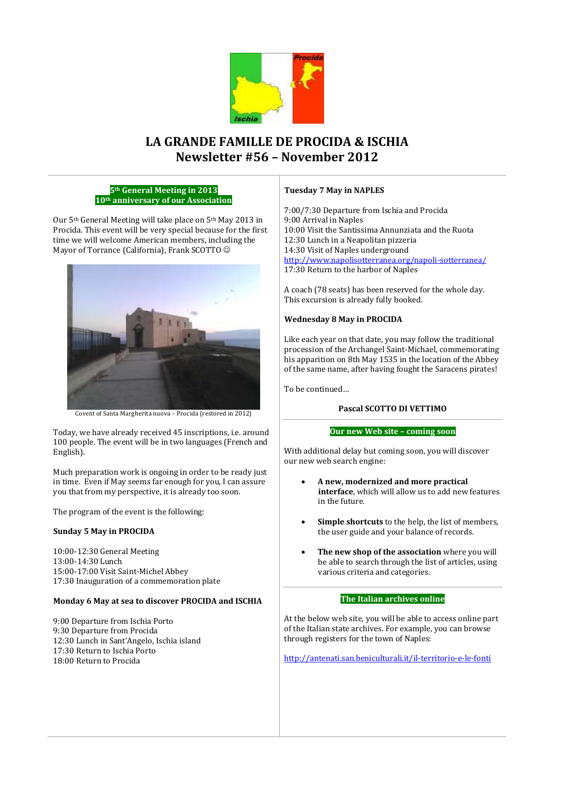

# **LA GRANDE FAMILLE DE PROCIDA & ISCHIA Newsletter #56 – November 2012**

## **5th General Meeting in 2013 10th anniversary of our Association**

Our 5th General Meeting will take place on 5th May 2013 in Procida. This event will be very special because for the first time we will welcome American members, including the Mayor of Torrance (California), Frank SCOTTO  $\odot$ 



Covent of Santa Margherita nuova – Procida (restored in 2012)

Today, we have already received 45 inscriptions, i.e. around 100 people. The event will be in two languages (French and English).

Much preparation work is ongoing in order to be ready just in time. Even if May seems far enough for you, I can assure you that from my perspective, it is already too soon.

The program of the event is the following:

# **Sunday 5 May in PROCIDA**

10:00-12:30 General Meeting 13:00-14:30 Lunch 15:00-17:00 Visit Saint-Michel Abbey 17:30 Inauguration of a commemoration plate

# **Monday 6 May at sea to discover PROCIDA and ISCHIA**

9:00 Departure from Ischia Porto 9:30 Departure from Procida 12:30 Lunch in Sant'Angelo, Ischia island 17:30 Return to Ischia Porto 18:00 Return to Procida

## **Tuesday 7 May in NAPLES**

7:00/7:30 Departure from Ischia and Procida 9:00 Arrival in Naples 10:00 Visit the Santissima Annunziata and the Ruota 12:30 Lunch in a Neapolitan pizzeria 14:30 Visit of Naples underground <http://www.napolisotterranea.org/napoli-sotterranea/> 17:30 Return to the harbor of Naples

A coach (78 seats) has been reserved for the whole day. This excursion is already fully booked.

# **Wednesday 8 May in PROCIDA**

Like each year on that date, you may follow the traditional procession of the Archangel Saint-Michael, commemorating his apparition on 8th May 1535 in the location of the Abbey of the same name, after having fought the Saracens pirates!

To be continued…

# **Pascal SCOTTO DI VETTIMO**

## **Our new Web site – coming soon**

With additional delay but coming soon, you will discover our new web search engine:

- **A new, modernized and more practical interface**, which will allow us to add new features in the future.
- **Simple shortcuts** to the help, the list of members, the user guide and your balance of records.
- **The new shop of the association** where you will be able to search through the list of articles, using various criteria and categories.

# **The Italian archives online**

At the below web site, you will be able to access online part of the Italian state archives. For example, you can browse through registers for the town of Naples:

<http://antenati.san.beniculturali.it/il-territorio-e-le-fonti>